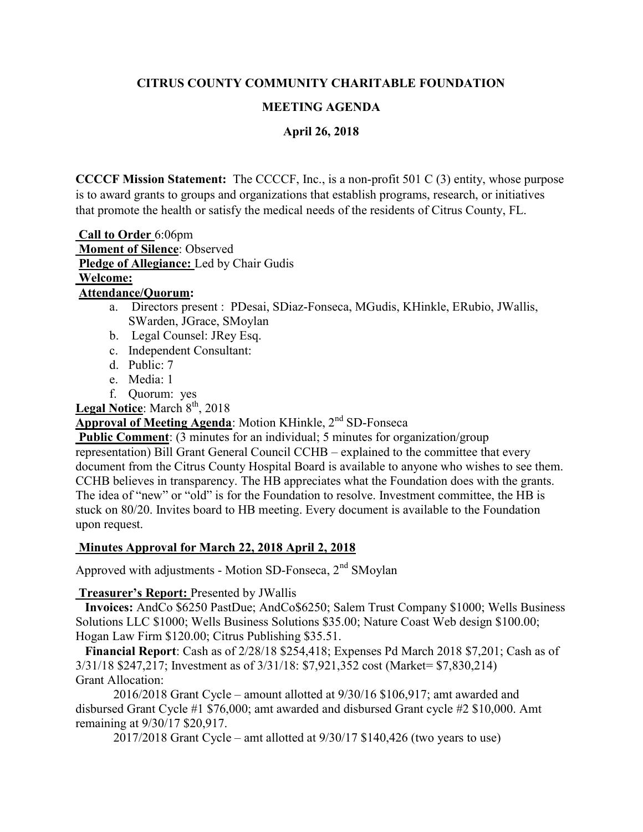#### CITRUS COUNTY COMMUNITY CHARITABLE FOUNDATION

### MEETING AGENDA

#### April 26, 2018

CCCCF Mission Statement: The CCCCF, Inc., is a non-profit 501 C (3) entity, whose purpose is to award grants to groups and organizations that establish programs, research, or initiatives that promote the health or satisfy the medical needs of the residents of Citrus County, FL.

 Call to Order 6:06pm Moment of Silence: Observed Pledge of Allegiance: Led by Chair Gudis

# Welcome:

## Attendance/Quorum:

- a. Directors present : PDesai, SDiaz-Fonseca, MGudis, KHinkle, ERubio, JWallis, SWarden, JGrace, SMoylan
- b. Legal Counsel: JRey Esq.
- c. Independent Consultant:
- d. Public: 7
- e. Media: 1
- f. Quorum: yes

**Legal Notice:** March  $8<sup>th</sup>$ , 2018

### Approval of Meeting Agenda: Motion KHinkle, 2<sup>nd</sup> SD-Fonseca

Public Comment: (3 minutes for an individual; 5 minutes for organization/group representation) Bill Grant General Council CCHB – explained to the committee that every document from the Citrus County Hospital Board is available to anyone who wishes to see them. CCHB believes in transparency. The HB appreciates what the Foundation does with the grants. The idea of "new" or "old" is for the Foundation to resolve. Investment committee, the HB is stuck on 80/20. Invites board to HB meeting. Every document is available to the Foundation upon request.

#### Minutes Approval for March 22, 2018 April 2, 2018

Approved with adjustments - Motion SD-Fonseca,  $2<sup>nd</sup>$  SMoylan

#### Treasurer's Report: Presented by JWallis

 Invoices: AndCo \$6250 PastDue; AndCo\$6250; Salem Trust Company \$1000; Wells Business Solutions LLC \$1000; Wells Business Solutions \$35.00; Nature Coast Web design \$100.00; Hogan Law Firm \$120.00; Citrus Publishing \$35.51.

 Financial Report: Cash as of 2/28/18 \$254,418; Expenses Pd March 2018 \$7,201; Cash as of 3/31/18 \$247,217; Investment as of 3/31/18: \$7,921,352 cost (Market= \$7,830,214) Grant Allocation:

 2016/2018 Grant Cycle – amount allotted at 9/30/16 \$106,917; amt awarded and disbursed Grant Cycle #1 \$76,000; amt awarded and disbursed Grant cycle #2 \$10,000. Amt remaining at 9/30/17 \$20,917.

2017/2018 Grant Cycle – amt allotted at 9/30/17 \$140,426 (two years to use)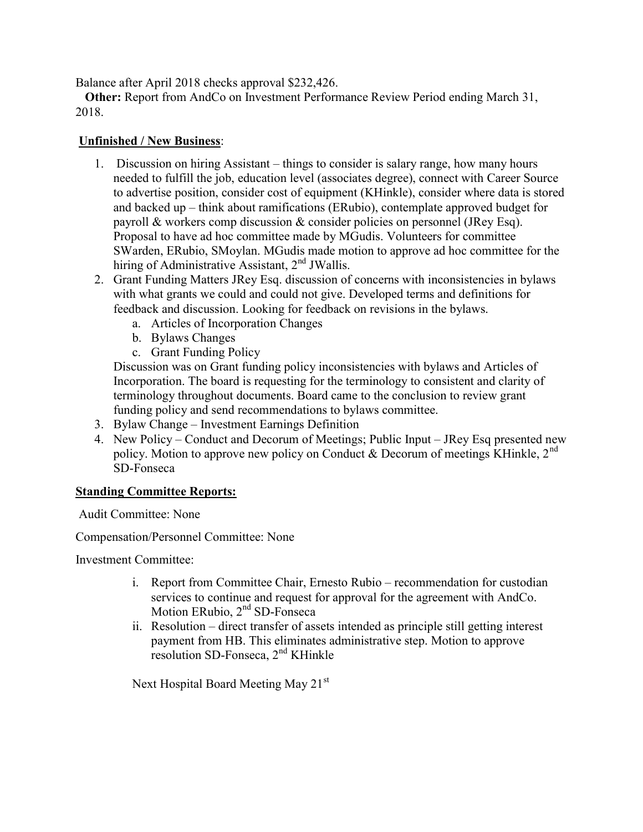Balance after April 2018 checks approval \$232,426.

 Other: Report from AndCo on Investment Performance Review Period ending March 31, 2018.

#### Unfinished / New Business:

- 1. Discussion on hiring Assistant things to consider is salary range, how many hours needed to fulfill the job, education level (associates degree), connect with Career Source to advertise position, consider cost of equipment (KHinkle), consider where data is stored and backed up – think about ramifications (ERubio), contemplate approved budget for payroll & workers comp discussion & consider policies on personnel (JRey Esq). Proposal to have ad hoc committee made by MGudis. Volunteers for committee SWarden, ERubio, SMoylan. MGudis made motion to approve ad hoc committee for the hiring of Administrative Assistant,  $2<sup>nd</sup> JWallis$ .
- 2. Grant Funding Matters JRey Esq. discussion of concerns with inconsistencies in bylaws with what grants we could and could not give. Developed terms and definitions for feedback and discussion. Looking for feedback on revisions in the bylaws.
	- a. Articles of Incorporation Changes
	- b. Bylaws Changes
	- c. Grant Funding Policy

Discussion was on Grant funding policy inconsistencies with bylaws and Articles of Incorporation. The board is requesting for the terminology to consistent and clarity of terminology throughout documents. Board came to the conclusion to review grant funding policy and send recommendations to bylaws committee.

- 3. Bylaw Change Investment Earnings Definition
- 4. New Policy Conduct and Decorum of Meetings; Public Input JRey Esq presented new policy. Motion to approve new policy on Conduct & Decorum of meetings KHinkle,  $2^{nd}$ SD-Fonseca

#### Standing Committee Reports:

Audit Committee: None

Compensation/Personnel Committee: None

Investment Committee:

- i. Report from Committee Chair, Ernesto Rubio recommendation for custodian services to continue and request for approval for the agreement with AndCo. Motion ERubio, 2<sup>nd</sup> SD-Fonseca
- ii. Resolution direct transfer of assets intended as principle still getting interest payment from HB. This eliminates administrative step. Motion to approve resolution SD-Fonseca, 2nd KHinkle

Next Hospital Board Meeting May 21<sup>st</sup>